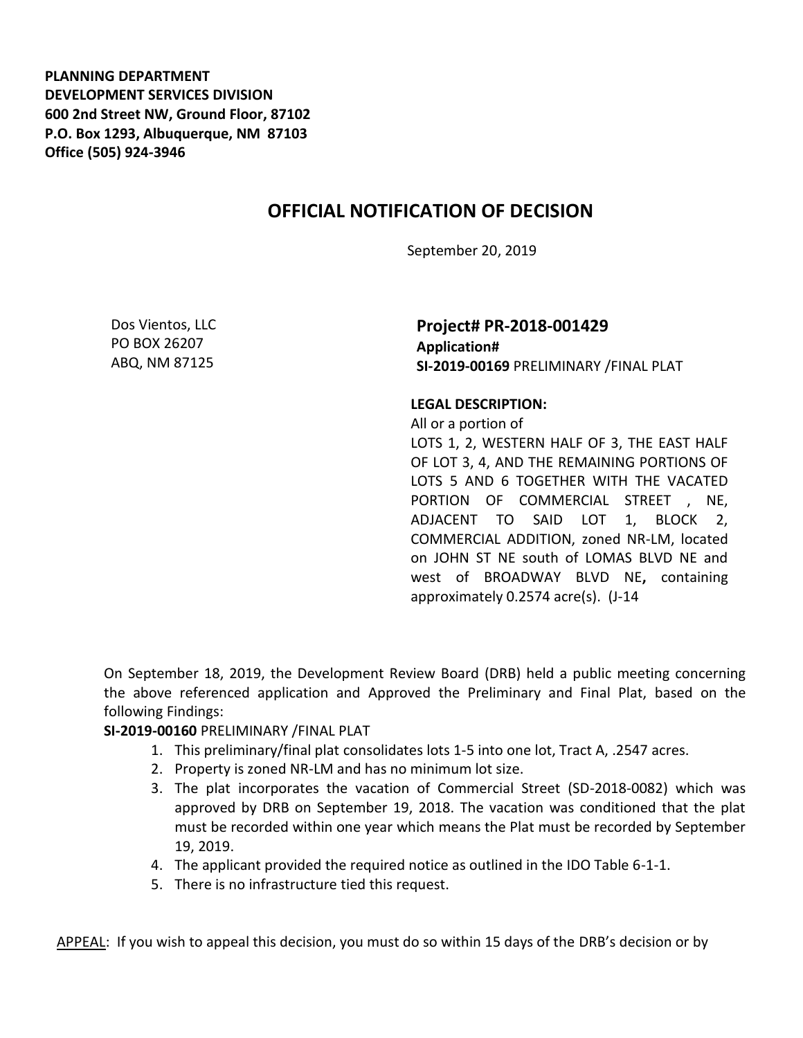**PLANNING DEPARTMENT DEVELOPMENT SERVICES DIVISION 600 2nd Street NW, Ground Floor, 87102 P.O. Box 1293, Albuquerque, NM 87103 Office (505) 924-3946** 

## **OFFICIAL NOTIFICATION OF DECISION**

September 20, 2019

Dos Vientos, LLC PO BOX 26207 ABQ, NM 87125

## **Project# PR-2018-001429 Application# SI-2019-00169** PRELIMINARY /FINAL PLAT

## **LEGAL DESCRIPTION:**

All or a portion of LOTS 1, 2, WESTERN HALF OF 3, THE EAST HALF OF LOT 3, 4, AND THE REMAINING PORTIONS OF LOTS 5 AND 6 TOGETHER WITH THE VACATED PORTION OF COMMERCIAL STREET , NE, ADJACENT TO SAID LOT 1, BLOCK 2, COMMERCIAL ADDITION, zoned NR-LM, located on JOHN ST NE south of LOMAS BLVD NE and west of BROADWAY BLVD NE**,** containing approximately 0.2574 acre(s). (J-14

On September 18, 2019, the Development Review Board (DRB) held a public meeting concerning the above referenced application and Approved the Preliminary and Final Plat, based on the following Findings:

## **SI-2019-00160** PRELIMINARY /FINAL PLAT

- 1. This preliminary/final plat consolidates lots 1-5 into one lot, Tract A, .2547 acres.
- 2. Property is zoned NR-LM and has no minimum lot size.
- 3. The plat incorporates the vacation of Commercial Street (SD-2018-0082) which was approved by DRB on September 19, 2018. The vacation was conditioned that the plat must be recorded within one year which means the Plat must be recorded by September 19, 2019.
- 4. The applicant provided the required notice as outlined in the IDO Table 6-1-1.
- 5. There is no infrastructure tied this request.

APPEAL: If you wish to appeal this decision, you must do so within 15 days of the DRB's decision or by